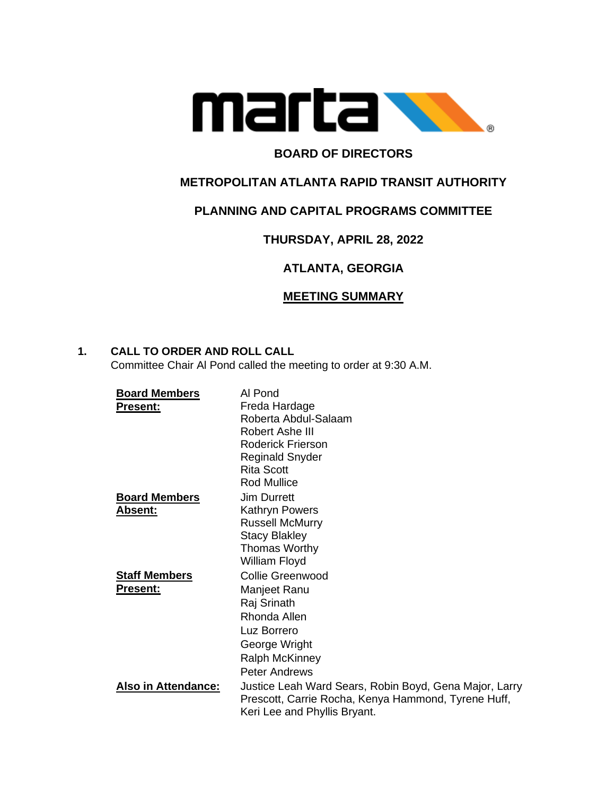

## **BOARD OF DIRECTORS**

## **METROPOLITAN ATLANTA RAPID TRANSIT AUTHORITY**

## **PLANNING AND CAPITAL PROGRAMS COMMITTEE**

# **THURSDAY, APRIL 28, 2022**

# **ATLANTA, GEORGIA**

## **MEETING SUMMARY**

## **1. CALL TO ORDER AND ROLL CALL**

Committee Chair Al Pond called the meeting to order at 9:30 A.M.

| <b>Board Members</b>       | Al Pond                                                |
|----------------------------|--------------------------------------------------------|
| <b>Present:</b>            | Freda Hardage                                          |
|                            | Roberta Abdul-Salaam                                   |
|                            | Robert Ashe III                                        |
|                            | Roderick Frierson                                      |
|                            | <b>Reginald Snyder</b>                                 |
|                            | <b>Rita Scott</b>                                      |
|                            | <b>Rod Mullice</b>                                     |
| <b>Board Members</b>       | <b>Jim Durrett</b>                                     |
| <b>Absent:</b>             | Kathryn Powers                                         |
|                            | <b>Russell McMurry</b>                                 |
|                            | <b>Stacy Blakley</b>                                   |
|                            | <b>Thomas Worthy</b>                                   |
|                            | William Floyd                                          |
| <b>Staff Members</b>       | Collie Greenwood                                       |
| <b>Present:</b>            | Manjeet Ranu                                           |
|                            | Raj Srinath                                            |
|                            | Rhonda Allen                                           |
|                            | Luz Borrero                                            |
|                            | George Wright                                          |
|                            |                                                        |
|                            | <b>Ralph McKinney</b>                                  |
|                            | <b>Peter Andrews</b>                                   |
| <b>Also in Attendance:</b> | Justice Leah Ward Sears, Robin Boyd, Gena Major, Larry |
|                            | Prescott, Carrie Rocha, Kenya Hammond, Tyrene Huff,    |
|                            | Keri Lee and Phyllis Bryant.                           |
|                            |                                                        |